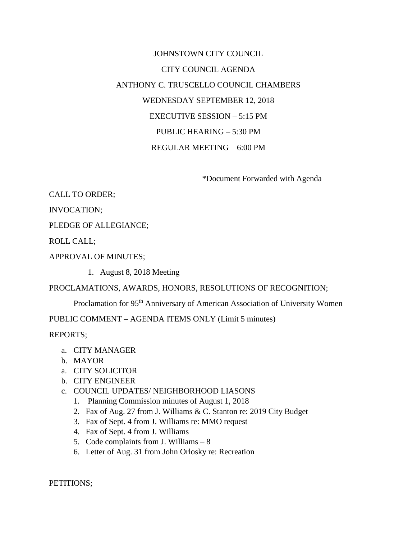# JOHNSTOWN CITY COUNCIL CITY COUNCIL AGENDA ANTHONY C. TRUSCELLO COUNCIL CHAMBERS WEDNESDAY SEPTEMBER 12, 2018 EXECUTIVE SESSION – 5:15 PM PUBLIC HEARING – 5:30 PM REGULAR MEETING – 6:00 PM

\*Document Forwarded with Agenda

CALL TO ORDER;

INVOCATION;

### PLEDGE OF ALLEGIANCE;

ROLL CALL;

APPROVAL OF MINUTES;

1. August 8, 2018 Meeting

PROCLAMATIONS, AWARDS, HONORS, RESOLUTIONS OF RECOGNITION;

Proclamation for 95<sup>th</sup> Anniversary of American Association of University Women

PUBLIC COMMENT – AGENDA ITEMS ONLY (Limit 5 minutes)

REPORTS;

- a. CITY MANAGER
- b. MAYOR
- a. CITY SOLICITOR
- b. CITY ENGINEER
- c. COUNCIL UPDATES/ NEIGHBORHOOD LIASONS
	- 1. Planning Commission minutes of August 1, 2018
	- 2. Fax of Aug. 27 from J. Williams & C. Stanton re: 2019 City Budget
	- 3. Fax of Sept. 4 from J. Williams re: MMO request
	- 4. Fax of Sept. 4 from J. Williams
	- 5. Code complaints from J. Williams 8
	- 6. Letter of Aug. 31 from John Orlosky re: Recreation

PETITIONS;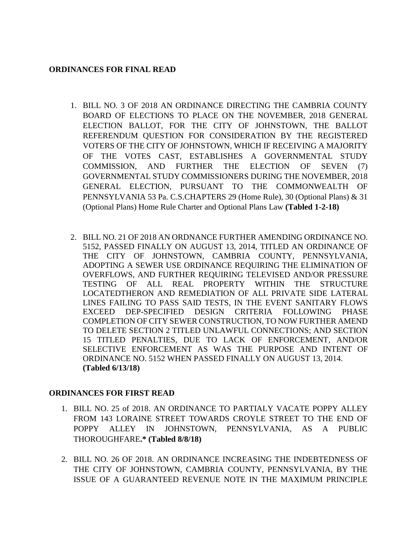#### **ORDINANCES FOR FINAL READ**

- 1. BILL NO. 3 OF 2018 AN ORDINANCE DIRECTING THE CAMBRIA COUNTY BOARD OF ELECTIONS TO PLACE ON THE NOVEMBER, 2018 GENERAL ELECTION BALLOT, FOR THE CITY OF JOHNSTOWN, THE BALLOT REFERENDUM QUESTION FOR CONSIDERATION BY THE REGISTERED VOTERS OF THE CITY OF JOHNSTOWN, WHICH IF RECEIVING A MAJORITY OF THE VOTES CAST, ESTABLISHES A GOVERNMENTAL STUDY COMMISSION, AND FURTHER THE ELECTION OF SEVEN (7) GOVERNMENTAL STUDY COMMISSIONERS DURING THE NOVEMBER, 2018 GENERAL ELECTION, PURSUANT TO THE COMMONWEALTH OF PENNSYLVANIA 53 Pa. C.S.CHAPTERS 29 (Home Rule), 30 (Optional Plans) & 31 (Optional Plans) Home Rule Charter and Optional Plans Law **(Tabled 1-2-18)**
- 2. BILL NO. 21 OF 2018 AN ORDNANCE FURTHER AMENDING ORDINANCE NO. 5152, PASSED FINALLY ON AUGUST 13, 2014, TITLED AN ORDINANCE OF THE CITY OF JOHNSTOWN, CAMBRIA COUNTY, PENNSYLVANIA, ADOPTING A SEWER USE ORDINANCE REQUIRING THE ELIMINATION OF OVERFLOWS, AND FURTHER REQUIRING TELEVISED AND/OR PRESSURE TESTING OF ALL REAL PROPERTY WITHIN THE STRUCTURE LOCATEDTHERON AND REMEDIATION OF ALL PRIVATE SIDE LATERAL LINES FAILING TO PASS SAID TESTS, IN THE EVENT SANITARY FLOWS EXCEED DEP-SPECIFIED DESIGN CRITERIA FOLLOWING PHASE COMPLETION OF CITY SEWER CONSTRUCTION, TO NOW FURTHER AMEND TO DELETE SECTION 2 TITLED UNLAWFUL CONNECTIONS; AND SECTION 15 TITLED PENALTIES, DUE TO LACK OF ENFORCEMENT, AND/OR SELECTIVE ENFORCEMENT AS WAS THE PURPOSE AND INTENT OF ORDINANCE NO. 5152 WHEN PASSED FINALLY ON AUGUST 13, 2014. **(Tabled 6/13/18)**

#### **ORDINANCES FOR FIRST READ**

- 1. BILL NO. 25 of 2018. AN ORDINANCE TO PARTIALY VACATE POPPY ALLEY FROM 143 LORAINE STREET TOWARDS CROYLE STREET TO THE END OF POPPY ALLEY IN JOHNSTOWN, PENNSYLVANIA, AS A PUBLIC THOROUGHFARE**.\* (Tabled 8/8/18)**
- 2. BILL NO. 26 OF 2018. AN ORDINANCE INCREASING THE INDEBTEDNESS OF THE CITY OF JOHNSTOWN, CAMBRIA COUNTY, PENNSYLVANIA, BY THE ISSUE OF A GUARANTEED REVENUE NOTE IN THE MAXIMUM PRINCIPLE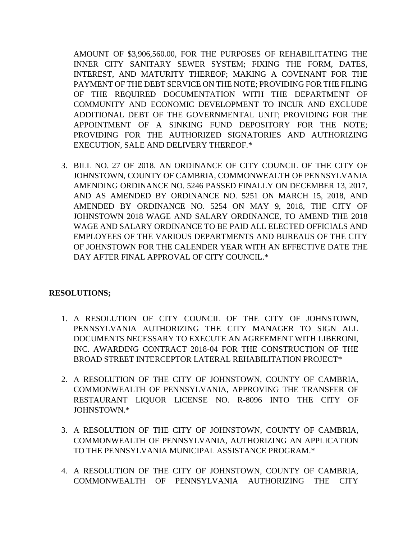AMOUNT OF \$3,906,560.00, FOR THE PURPOSES OF REHABILITATING THE INNER CITY SANITARY SEWER SYSTEM; FIXING THE FORM, DATES, INTEREST, AND MATURITY THEREOF; MAKING A COVENANT FOR THE PAYMENT OF THE DEBT SERVICE ON THE NOTE; PROVIDING FOR THE FILING OF THE REQUIRED DOCUMENTATION WITH THE DEPARTMENT OF COMMUNITY AND ECONOMIC DEVELOPMENT TO INCUR AND EXCLUDE ADDITIONAL DEBT OF THE GOVERNMENTAL UNIT; PROVIDING FOR THE APPOINTMENT OF A SINKING FUND DEPOSITORY FOR THE NOTE; PROVIDING FOR THE AUTHORIZED SIGNATORIES AND AUTHORIZING EXECUTION, SALE AND DELIVERY THEREOF.\*

3. BILL NO. 27 OF 2018. AN ORDINANCE OF CITY COUNCIL OF THE CITY OF JOHNSTOWN, COUNTY OF CAMBRIA, COMMONWEALTH OF PENNSYLVANIA AMENDING ORDINANCE NO. 5246 PASSED FINALLY ON DECEMBER 13, 2017, AND AS AMENDED BY ORDINANCE NO. 5251 ON MARCH 15, 2018, AND AMENDED BY ORDINANCE NO. 5254 ON MAY 9, 2018, THE CITY OF JOHNSTOWN 2018 WAGE AND SALARY ORDINANCE, TO AMEND THE 2018 WAGE AND SALARY ORDINANCE TO BE PAID ALL ELECTED OFFICIALS AND EMPLOYEES OF THE VARIOUS DEPARTMENTS AND BUREAUS OF THE CITY OF JOHNSTOWN FOR THE CALENDER YEAR WITH AN EFFECTIVE DATE THE DAY AFTER FINAL APPROVAL OF CITY COUNCIL.\*

## **RESOLUTIONS;**

- 1. A RESOLUTION OF CITY COUNCIL OF THE CITY OF JOHNSTOWN, PENNSYLVANIA AUTHORIZING THE CITY MANAGER TO SIGN ALL DOCUMENTS NECESSARY TO EXECUTE AN AGREEMENT WITH LIBERONI, INC. AWARDING CONTRACT 2018-04 FOR THE CONSTRUCTION OF THE BROAD STREET INTERCEPTOR LATERAL REHABILITATION PROJECT\*
- 2. A RESOLUTION OF THE CITY OF JOHNSTOWN, COUNTY OF CAMBRIA, COMMONWEALTH OF PENNSYLVANIA, APPROVING THE TRANSFER OF RESTAURANT LIQUOR LICENSE NO. R-8096 INTO THE CITY OF JOHNSTOWN.\*
- 3. A RESOLUTION OF THE CITY OF JOHNSTOWN, COUNTY OF CAMBRIA, COMMONWEALTH OF PENNSYLVANIA, AUTHORIZING AN APPLICATION TO THE PENNSYLVANIA MUNICIPAL ASSISTANCE PROGRAM.\*
- 4. A RESOLUTION OF THE CITY OF JOHNSTOWN, COUNTY OF CAMBRIA, COMMONWEALTH OF PENNSYLVANIA AUTHORIZING THE CITY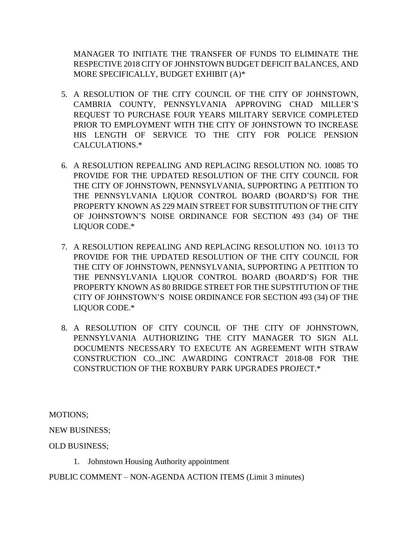MANAGER TO INITIATE THE TRANSFER OF FUNDS TO ELIMINATE THE RESPECTIVE 2018 CITY OF JOHNSTOWN BUDGET DEFICIT BALANCES, AND MORE SPECIFICALLY, BUDGET EXHIBIT (A)\*

- 5. A RESOLUTION OF THE CITY COUNCIL OF THE CITY OF JOHNSTOWN, CAMBRIA COUNTY, PENNSYLVANIA APPROVING CHAD MILLER'S REQUEST TO PURCHASE FOUR YEARS MILITARY SERVICE COMPLETED PRIOR TO EMPLOYMENT WITH THE CITY OF JOHNSTOWN TO INCREASE HIS LENGTH OF SERVICE TO THE CITY FOR POLICE PENSION CALCULATIONS.\*
- 6. A RESOLUTION REPEALING AND REPLACING RESOLUTION NO. 10085 TO PROVIDE FOR THE UPDATED RESOLUTION OF THE CITY COUNCIL FOR THE CITY OF JOHNSTOWN, PENNSYLVANIA, SUPPORTING A PETITION TO THE PENNSYLVANIA LIQUOR CONTROL BOARD (BOARD'S) FOR THE PROPERTY KNOWN AS 229 MAIN STREET FOR SUBSTITUTION OF THE CITY OF JOHNSTOWN'S NOISE ORDINANCE FOR SECTION 493 (34) OF THE LIQUOR CODE.\*
- 7. A RESOLUTION REPEALING AND REPLACING RESOLUTION NO. 10113 TO PROVIDE FOR THE UPDATED RESOLUTION OF THE CITY COUNCIL FOR THE CITY OF JOHNSTOWN, PENNSYLVANIA, SUPPORTING A PETITION TO THE PENNSYLVANIA LIQUOR CONTROL BOARD (BOARD'S) FOR THE PROPERTY KNOWN AS 80 BRIDGE STREET FOR THE SUPSTITUTION OF THE CITY OF JOHNSTOWN'S NOISE ORDINANCE FOR SECTION 493 (34) OF THE LIQUOR CODE.\*
- 8. A RESOLUTION OF CITY COUNCIL OF THE CITY OF JOHNSTOWN, PENNSYLVANIA AUTHORIZING THE CITY MANAGER TO SIGN ALL DOCUMENTS NECESSARY TO EXECUTE AN AGREEMENT WITH STRAW CONSTRUCTION CO..,INC AWARDING CONTRACT 2018-08 FOR THE CONSTRUCTION OF THE ROXBURY PARK UPGRADES PROJECT.\*

MOTIONS;

NEW BUSINESS;

OLD BUSINESS;

1. Johnstown Housing Authority appointment

PUBLIC COMMENT – NON-AGENDA ACTION ITEMS (Limit 3 minutes)